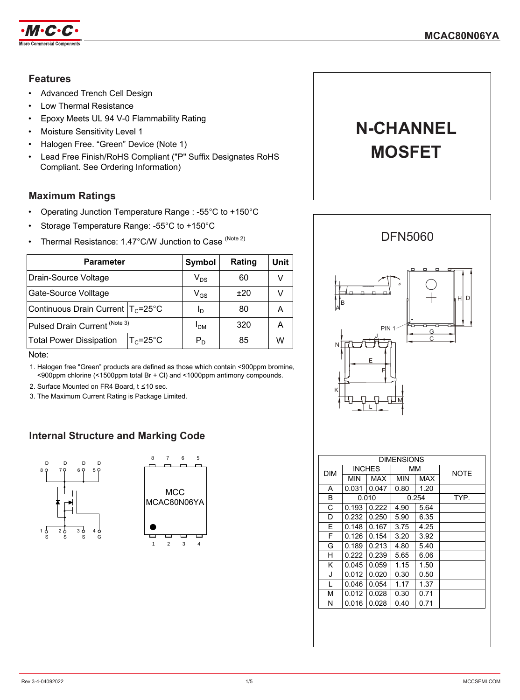

### **Features**

- Advanced Trench Cell Design
- Low Thermal Resistance
- Epoxy Meets UL 94 V-0 Flammability Rating
- Moisture Sensitivity Level 1
- Halogen Free. "Green" Device (Note 1)
- Lead Free Finish/RoHS Compliant ("P" Suffix Designates RoHS Compliant. See Ordering Information)

## **Maximum Ratings**

- Operating Junction Temperature Range : -55°C to +150°C
- Storage Temperature Range: -55°C to +150°C
- Thermal Resistance: 1.47°C/W Junction to Case<sup>(Note 2)</sup>

| <b>Parameter</b>                                      | Symbol                     | Rating | Unit |
|-------------------------------------------------------|----------------------------|--------|------|
| Drain-Source Voltage                                  | $\mathsf{V}_{\mathsf{DS}}$ | 60     | v    |
| Gate-Source Volltage                                  | $\mathsf{V}_{\mathsf{GS}}$ | ±20    | V    |
| Continuous Drain Current   T <sub>C</sub> =25°C       | Ιŋ                         | 80     | A    |
| Pulsed Drain Current (Note 3)                         | I <sub>DM</sub>            | 320    | A    |
| $T_c = 25^{\circ}C$<br><b>Total Power Dissipation</b> | $P_D$                      | 85     | W    |

Note:

1. Halogen free "Green" products are defined as those which contain <900ppm bromine, <900ppm chlorine (<1500ppm total Br + Cl) and <1000ppm antimony compounds.

- 2. Surface Mounted on FR4 Board, t ≤10 sec.
- 3. The Maximum Current Rating is Package Limited.

## **Internal Structure and Marking Code**





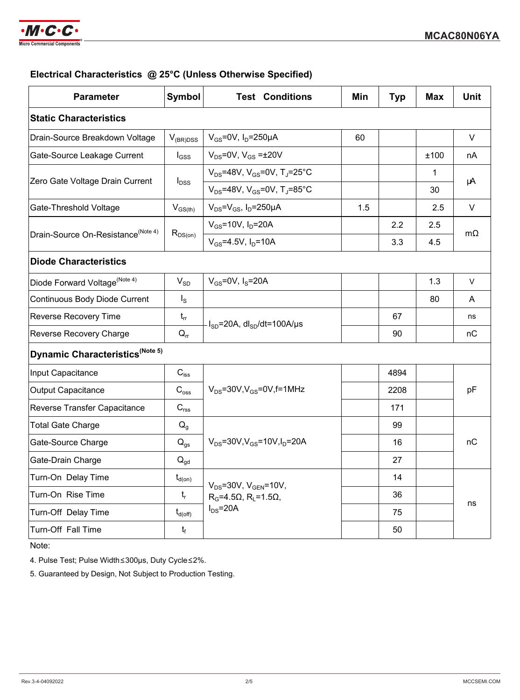

## **Electrical Characteristics @ 25°C (Unless Otherwise Specified)**

| <b>Parameter</b>                               | Symbol                     | <b>Test Conditions</b>                                                        | Min | <b>Typ</b> | <b>Max</b> | <b>Unit</b> |
|------------------------------------------------|----------------------------|-------------------------------------------------------------------------------|-----|------------|------------|-------------|
| <b>Static Characteristics</b>                  |                            |                                                                               |     |            |            |             |
| Drain-Source Breakdown Voltage                 | $V_{(BR)DSS}$              | $V_{GS}$ =0V, I <sub>D</sub> =250µA                                           | 60  |            |            | $\vee$      |
| Gate-Source Leakage Current                    | $I_{GSS}$                  | $V_{DS}$ =0V, $V_{GS}$ = $\pm$ 20V                                            |     |            | ±100       | nA          |
| Zero Gate Voltage Drain Current                | $I_{\text{DSS}}$           | $V_{DS}$ =48V, V <sub>GS</sub> =0V, T <sub>J</sub> =25°C                      |     |            | 1          | μA          |
|                                                |                            | $V_{DS}$ =48V, V <sub>GS</sub> =0V, T <sub>J</sub> =85°C                      |     |            | 30         |             |
| Gate-Threshold Voltage                         | $V_{GS(th)}$               | $V_{DS} = V_{GS}$ , $I_D = 250 \mu A$                                         | 1.5 |            | 2.5        | V           |
| Drain-Source On-Resistance <sup>(Note 4)</sup> | $R_{DS(on)}$               | $V_{GS} = 10V$ , $I_D = 20A$                                                  |     | 2.2        | 2.5        | $m\Omega$   |
|                                                |                            | $V_{GS} = 4.5V$ , $I_D = 10A$                                                 |     | 3.3        | 4.5        |             |
| <b>Diode Characteristics</b>                   |                            |                                                                               |     |            |            |             |
| Diode Forward Voltage <sup>(Note 4)</sup>      | $V_{SD}$                   | $V_{GS}$ =0V, $I_S$ =20A                                                      |     |            | 1.3        | $\vee$      |
| <b>Continuous Body Diode Current</b>           | $I_{\rm S}$                |                                                                               |     |            | 80         | A           |
| Reverse Recovery Time                          | $t_{rr}$                   | $I_{SD}$ =20A, dl <sub>SD</sub> /dt=100A/µs                                   |     | 67         |            | ns          |
| Reverse Recovery Charge                        | $Q_{rr}$                   |                                                                               |     | 90         |            | nC          |
| Dynamic Characteristics <sup>(Note 5)</sup>    |                            |                                                                               |     |            |            |             |
| Input Capacitance                              | $C_{\text{iss}}$           | $V_{DS}$ =30V, $V_{GS}$ =0V, f=1MHz                                           |     | 4894       |            |             |
| <b>Output Capacitance</b>                      | $C_{\rm oss}$              |                                                                               |     | 2208       |            | pF          |
| Reverse Transfer Capacitance                   | $C_{\text{rss}}$           |                                                                               |     | 171        |            |             |
| <b>Total Gate Charge</b>                       | $Q_{q}$                    | $V_{DS} = 30V$ , $V_{GS} = 10V$ , $I_D = 20A$                                 |     | 99         |            |             |
| Gate-Source Charge                             | $Q_{gs}$                   |                                                                               |     | 16         |            | nC          |
| Gate-Drain Charge                              | $\mathsf{Q}_{\mathsf{gd}}$ |                                                                               |     | 27         |            |             |
| Turn-On Delay Time                             | $t_{d(on)}$                | $V_{DS} = 30V$ , $V_{GEN} = 10V$ ,<br>$R_G = 4.5\Omega$ , $R_1 = 1.5\Omega$ , |     | 14         |            |             |
| Turn-On Rise Time                              | $t_{\sf r}$                |                                                                               |     | 36         |            |             |
| Turn-Off Delay Time                            | $t_{d(\text{off})}$        | $I_{DS} = 20A$                                                                |     | 75         |            | ns          |
| Turn-Off Fall Time                             | $t_f$                      |                                                                               |     | 50         |            |             |

Note:

4. Pulse Test; Pulse Width≤300μs, Duty Cycle≤2%.

5. Guaranteed by Design, Not Subject to Production Testing.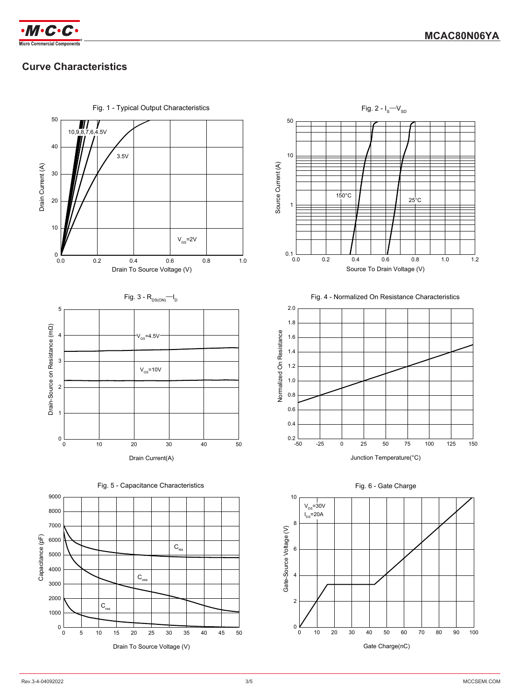

# **Curve Characteristics**



Fig. 4 - Normalized On Resistance Characteristics

 $25^{\circ}$ C





Drain To Source Voltage (V)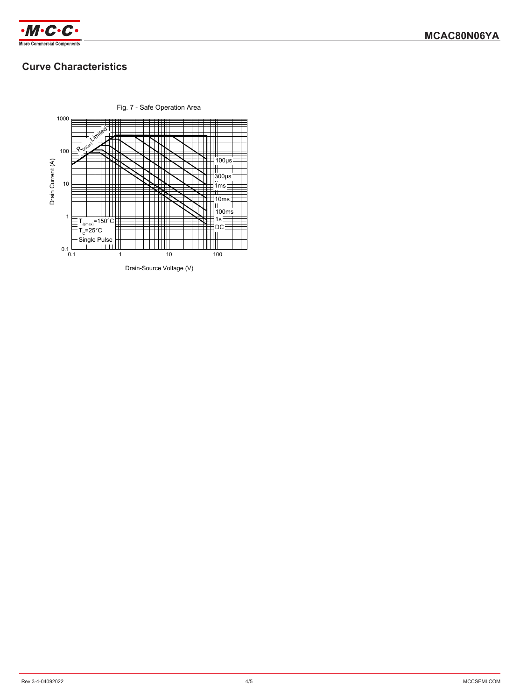

# **Curve Characteristics**